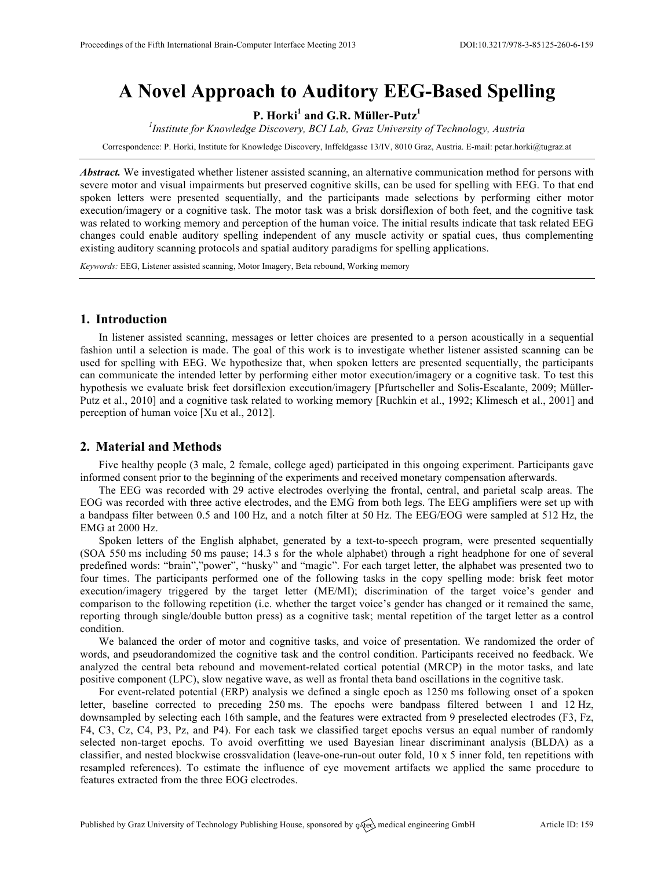# **A Novel Approach to Auditory EEG-Based Spelling**

**P. Horki<sup>1</sup> and G.R. Müller-Putz<sup>1</sup>**

*1 Institute for Knowledge Discovery, BCI Lab, Graz University of Technology, Austria*

Correspondence: P. Horki, Institute for Knowledge Discovery, Inffeldgasse 13/IV, 8010 Graz, Austria. E-mail: petar.horki@tugraz.at

*Abstract.* We investigated whether listener assisted scanning, an alternative communication method for persons with severe motor and visual impairments but preserved cognitive skills, can be used for spelling with EEG. To that end spoken letters were presented sequentially, and the participants made selections by performing either motor execution/imagery or a cognitive task. The motor task was a brisk dorsiflexion of both feet, and the cognitive task was related to working memory and perception of the human voice. The initial results indicate that task related EEG changes could enable auditory spelling independent of any muscle activity or spatial cues, thus complementing existing auditory scanning protocols and spatial auditory paradigms for spelling applications.

*Keywords:* EEG, Listener assisted scanning, Motor Imagery, Beta rebound, Working memory

## **1. Introduction**

In listener assisted scanning, messages or letter choices are presented to a person acoustically in a sequential fashion until a selection is made. The goal of this work is to investigate whether listener assisted scanning can be used for spelling with EEG. We hypothesize that, when spoken letters are presented sequentially, the participants can communicate the intended letter by performing either motor execution/imagery or a cognitive task. To test this hypothesis we evaluate brisk feet dorsiflexion execution/imagery [Pfurtscheller and Solis-Escalante, 2009; Müller-Putz et al., 2010] and a cognitive task related to working memory [Ruchkin et al., 1992; Klimesch et al., 2001] and perception of human voice [Xu et al., 2012].

#### **2. Material and Methods**

Five healthy people (3 male, 2 female, college aged) participated in this ongoing experiment. Participants gave informed consent prior to the beginning of the experiments and received monetary compensation afterwards.

The EEG was recorded with 29 active electrodes overlying the frontal, central, and parietal scalp areas. The EOG was recorded with three active electrodes, and the EMG from both legs. The EEG amplifiers were set up with a bandpass filter between 0.5 and 100 Hz, and a notch filter at 50 Hz. The EEG/EOG were sampled at 512 Hz, the EMG at 2000 Hz.

Spoken letters of the English alphabet, generated by a text-to-speech program, were presented sequentially (SOA 550 ms including 50 ms pause; 14.3 s for the whole alphabet) through a right headphone for one of several predefined words: "brain","power", "husky" and "magic". For each target letter, the alphabet was presented two to four times. The participants performed one of the following tasks in the copy spelling mode: brisk feet motor execution/imagery triggered by the target letter (ME/MI); discrimination of the target voice's gender and comparison to the following repetition (i.e. whether the target voice's gender has changed or it remained the same, reporting through single/double button press) as a cognitive task; mental repetition of the target letter as a control condition.

We balanced the order of motor and cognitive tasks, and voice of presentation. We randomized the order of words, and pseudorandomized the cognitive task and the control condition. Participants received no feedback. We analyzed the central beta rebound and movement-related cortical potential (MRCP) in the motor tasks, and late positive component (LPC), slow negative wave, as well as frontal theta band oscillations in the cognitive task.

For event-related potential (ERP) analysis we defined a single epoch as 1250 ms following onset of a spoken letter, baseline corrected to preceding 250 ms. The epochs were bandpass filtered between 1 and 12 Hz, downsampled by selecting each 16th sample, and the features were extracted from 9 preselected electrodes (F3, Fz, F4, C3, Cz, C4, P3, Pz, and P4). For each task we classified target epochs versus an equal number of randomly selected non-target epochs. To avoid overfitting we used Bayesian linear discriminant analysis (BLDA) as a classifier, and nested blockwise crossvalidation (leave-one-run-out outer fold, 10 x 5 inner fold, ten repetitions with resampled references). To estimate the influence of eye movement artifacts we applied the same procedure to features extracted from the three EOG electrodes.